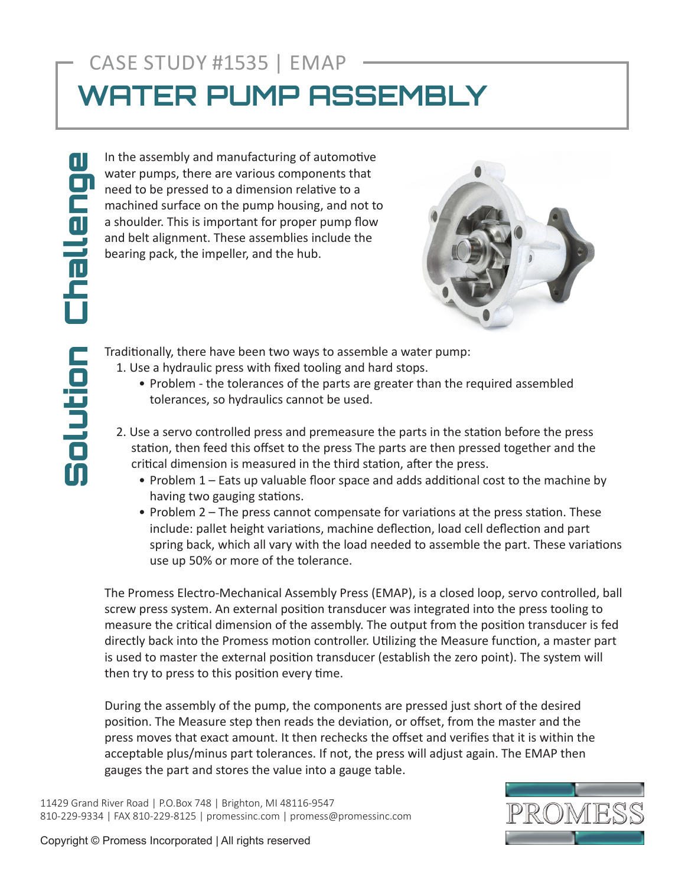## CASE STUDY #1535 | EMAP

## **WATER PUMP ASSEMBLY**

In the assembly and manufacturing of automotive water pumps, there are various components that need to be pressed to a dimension relative to a machined surface on the pump housing, and not to a shoulder. This is important for proper pump flow and belt alignment. These assemblies include the bearing pack, the impeller, and the hub.



Traditionally, there have been two ways to assemble a water pump:

- 1. Use a hydraulic press with fixed tooling and hard stops.
	- Problem the tolerances of the parts are greater than the required assembled tolerances, so hydraulics cannot be used.
- 2. Use a servo controlled press and premeasure the parts in the station before the press station, then feed this offset to the press The parts are then pressed together and the critical dimension is measured in the third station, after the press.
	- Problem 1 Eats up valuable floor space and adds additional cost to the machine by having two gauging stations.
	- Problem 2 The press cannot compensate for variations at the press station. These include: pallet height variations, machine deflection, load cell deflection and part spring back, which all vary with the load needed to assemble the part. These variations use up 50% or more of the tolerance.

The Promess Electro-Mechanical Assembly Press (EMAP), is a closed loop, servo controlled, ball screw press system. An external position transducer was integrated into the press tooling to measure the critical dimension of the assembly. The output from the position transducer is fed directly back into the Promess motion controller. Utilizing the Measure function, a master part is used to master the external position transducer (establish the zero point). The system will then try to press to this position every time.

During the assembly of the pump, the components are pressed just short of the desired position. The Measure step then reads the deviation, or offset, from the master and the press moves that exact amount. It then rechecks the offset and verifies that it is within the acceptable plus/minus part tolerances. If not, the press will adjust again. The EMAP then gauges the part and stores the value into a gauge table.